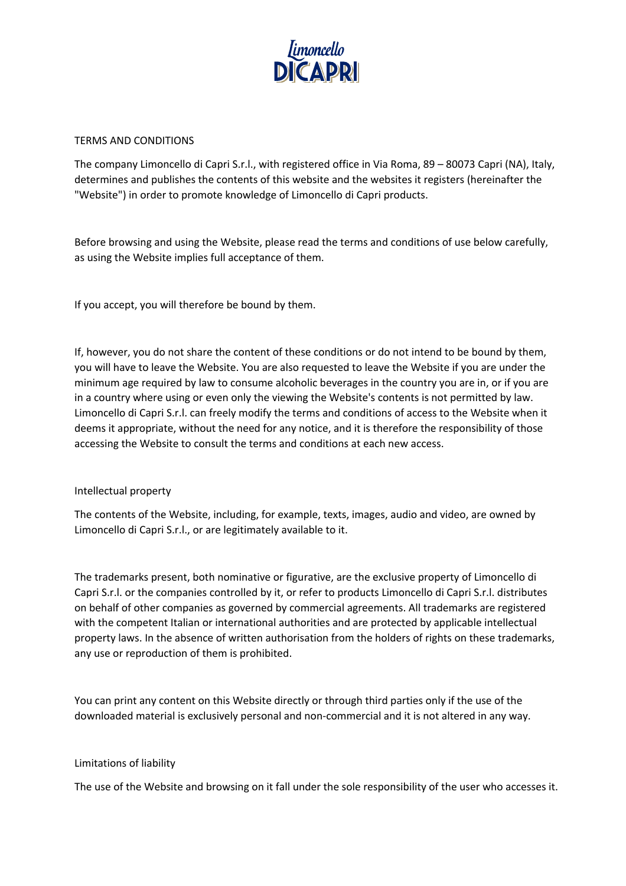

#### TERMS AND CONDITIONS

The company Limoncello di Capri S.r.l., with registered office in Via Roma, 89 – 80073 Capri (NA), Italy, determines and publishes the contents of this website and the websites it registers (hereinafter the "Website") in order to promote knowledge of Limoncello di Capri products.

Before browsing and using the Website, please read the terms and conditions of use below carefully, as using the Website implies full acceptance of them.

If you accept, you will therefore be bound by them.

If, however, you do not share the content of these conditions or do not intend to be bound by them, you will have to leave the Website. You are also requested to leave the Website if you are under the minimum age required by law to consume alcoholic beverages in the country you are in, or if you are in a country where using or even only the viewing the Website's contents is not permitted by law. Limoncello di Capri S.r.l. can freely modify the terms and conditions of access to the Website when it deems it appropriate, without the need for any notice, and it is therefore the responsibility of those accessing the Website to consult the terms and conditions at each new access.

## Intellectual property

The contents of the Website, including, for example, texts, images, audio and video, are owned by Limoncello di Capri S.r.l., or are legitimately available to it.

The trademarks present, both nominative or figurative, are the exclusive property of Limoncello di Capri S.r.l. or the companies controlled by it, or refer to products Limoncello di Capri S.r.l. distributes on behalf of other companies as governed by commercial agreements. All trademarks are registered with the competent Italian or international authorities and are protected by applicable intellectual property laws. In the absence of written authorisation from the holders of rights on these trademarks, any use or reproduction of them is prohibited.

You can print any content on this Website directly or through third parties only if the use of the downloaded material is exclusively personal and non-commercial and it is not altered in any way.

#### Limitations of liability

The use of the Website and browsing on it fall under the sole responsibility of the user who accesses it.